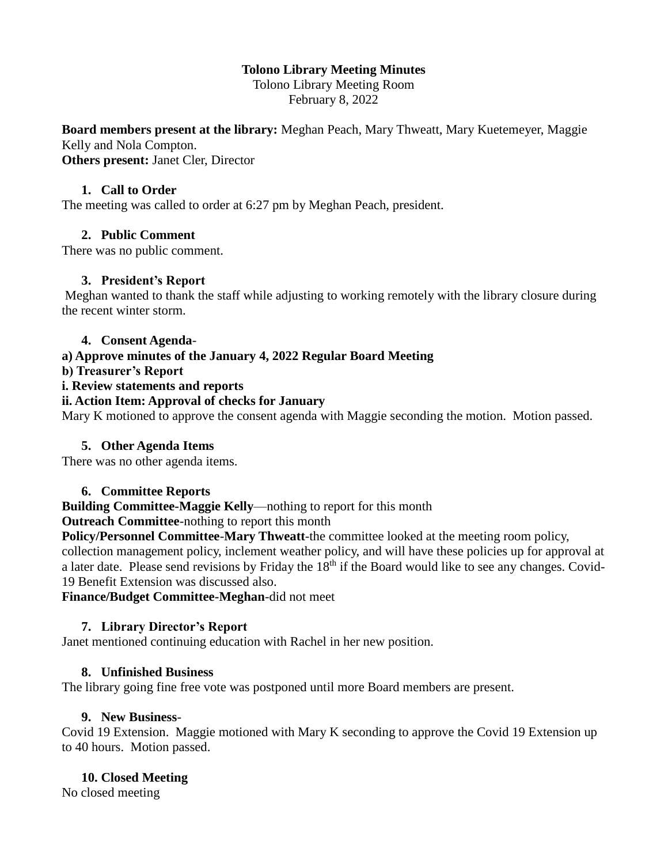# **Tolono Library Meeting Minutes**

Tolono Library Meeting Room February 8, 2022

**Board members present at the library:** Meghan Peach, Mary Thweatt, Mary Kuetemeyer, Maggie Kelly and Nola Compton. **Others present:** Janet Cler, Director

### **1. Call to Order**

The meeting was called to order at 6:27 pm by Meghan Peach, president.

#### **2. Public Comment**

There was no public comment.

#### **3. President's Report**

Meghan wanted to thank the staff while adjusting to working remotely with the library closure during the recent winter storm.

#### **4. Consent Agenda**-

# **a) Approve minutes of the January 4, 2022 Regular Board Meeting**

**b) Treasurer's Report**

#### **i. Review statements and reports**

# **ii. Action Item: Approval of checks for January**

Mary K motioned to approve the consent agenda with Maggie seconding the motion. Motion passed.

#### **5. Other Agenda Items**

There was no other agenda items.

# **6. Committee Reports**

# **Building Committee-Maggie Kelly**—nothing to report for this month

#### **Outreach Committee**-nothing to report this month

**Policy/Personnel Committee**-**Mary Thweatt**-the committee looked at the meeting room policy, collection management policy, inclement weather policy, and will have these policies up for approval at a later date. Please send revisions by Friday the  $18<sup>th</sup>$  if the Board would like to see any changes. Covid-19 Benefit Extension was discussed also.

#### **Finance/Budget Committee-Meghan**-did not meet

# **7. Library Director's Report**

Janet mentioned continuing education with Rachel in her new position.

# **8. Unfinished Business**

The library going fine free vote was postponed until more Board members are present.

# **9. New Business**-

Covid 19 Extension. Maggie motioned with Mary K seconding to approve the Covid 19 Extension up to 40 hours. Motion passed.

# **10. Closed Meeting**

No closed meeting